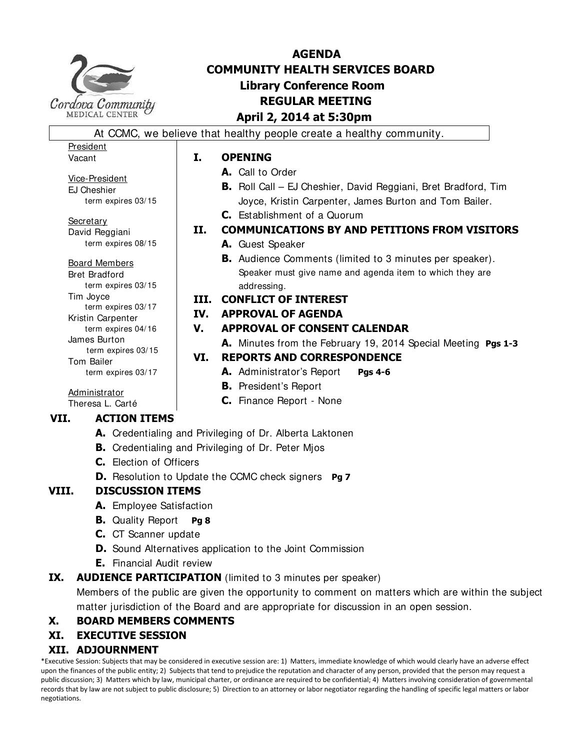

# **AGENDA COMMUNITY HEALTH SERVICES BOARD Library Conference Room REGULAR MEETING April 2, 2014 at 5:30pm**

At CCMC, we believe that healthy people create a healthy community.

## **I. OPENING**

- **A.** Call to Order
- **B.** Roll Call EJ Cheshier, David Reggiani, Bret Bradford, Tim Joyce, Kristin Carpenter, James Burton and Tom Bailer. **C.** Establishment of a Quorum
- **II. COMMUNICATIONS BY AND PETITIONS FROM VISITORS**
	- **A.** Guest Speaker
	- **B.** Audience Comments (limited to 3 minutes per speaker). Speaker must give name and agenda item to which they are addressing.
- **III. CONFLICT OF INTEREST**
- **IV. APPROVAL OF AGENDA**
- **V. APPROVAL OF CONSENT CALENDAR**
- **A.** Minutes from the February 19, 2014 Special Meeting **Pgs 1-3**

## **VI. REPORTS AND CORRESPONDENCE**

- **A.** Administrator's Report **Pgs 4-6**
- **B.** President's Report
- **C.** Finance Report None

Theresa L. Carté

## **VII. ACTION ITEMS**

- **A.** Credentialing and Privileging of Dr. Alberta Laktonen
- **B.** Credentialing and Privileging of Dr. Peter Mjos
- **C.** Election of Officers
- **D.** Resolution to Update the CCMC check signers **Pg 7**

## **VIII. DISCUSSION ITEMS**

- **A.** Employee Satisfaction
- **B.** Quality Report **Pg 8**
- **C.** CT Scanner update
- **D.** Sound Alternatives application to the Joint Commission
- **E.** Financial Audit review

## **IX.** AUDIENCE PARTICIPATION (limited to 3 minutes per speaker)

Members of the public are given the opportunity to comment on matters which are within the subject matter jurisdiction of the Board and are appropriate for discussion in an open session.

## **X. BOARD MEMBERS COMMENTS**

## **XI. EXECUTIVE SESSION**

## **XII. ADJOURNMENT**

\*Executive Session: Subjects that may be considered in executive session are: 1) Matters, immediate knowledge of which would clearly have an adverse effect upon the finances of the public entity; 2) Subjects that tend to prejudice the reputation and character of any person, provided that the person may request a public discussion; 3) Matters which by law, municipal charter, or ordinance are required to be confidential; 4) Matters involving consideration of governmental records that by law are not subject to public disclosure; 5) Direction to an attorney or labor negotiator regarding the handling of specific legal matters or labor negotiations.

President Vacant

Vice-President EJ Cheshier term expires 03/15

**Secretary** David Reggiani term expires 08/15

Board Members Bret Bradford term expires 03/15 Tim Joyce term expires 03/17 Kristin Carpenter term expires 04/16 James Burton term expires 03/15 Tom Bailer term expires 03/17

Administrator

- 
- 
-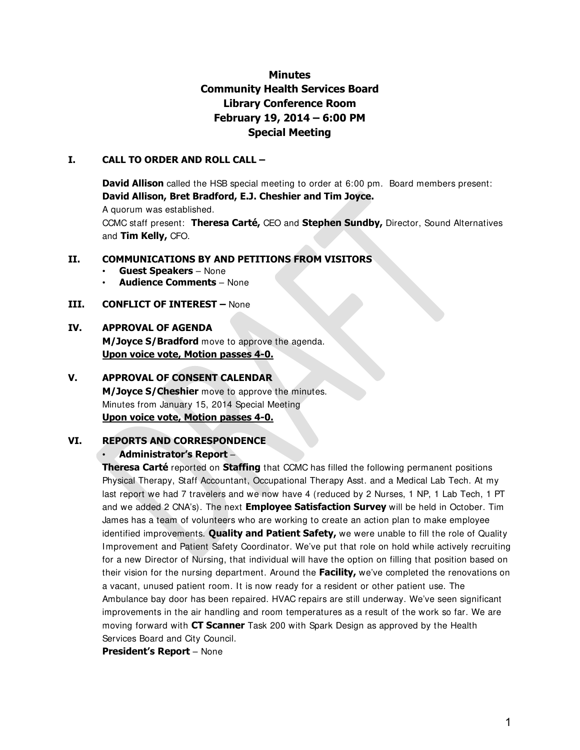## **Minutes Community Health Services Board Library Conference Room February 19, 2014 – 6:00 PM Special Meeting**

#### **I. CALL TO ORDER AND ROLL CALL –**

**David Allison** called the HSB special meeting to order at 6:00 pm. Board members present: **David Allison, Bret Bradford, E.J. Cheshier and Tim Joyce.** 

A quorum was established.

CCMC staff present: **Theresa Carté,** CEO and **Stephen Sundby,** Director, Sound Alternatives and **Tim Kelly,** CFO.

#### **II. COMMUNICATIONS BY AND PETITIONS FROM VISITORS**

- **Guest Speakers**  None
- **Audience Comments**  None

#### **III. CONFLICT OF INTEREST –** None

#### **IV. APPROVAL OF AGENDA**

**M/Joyce S/Bradford** move to approve the agenda. **Upon voice vote, Motion passes 4-0.**

#### **V. APPROVAL OF CONSENT CALENDAR**

**M/Joyce S/Cheshier** move to approve the minutes. Minutes from January 15, 2014 Special Meeting **Upon voice vote, Motion passes 4-0.**

#### **VI. REPORTS AND CORRESPONDENCE**

#### • **Administrator's Report** –

**Theresa Carté** reported on **Staffing** that CCMC has filled the following permanent positions Physical Therapy, Staff Accountant, Occupational Therapy Asst. and a Medical Lab Tech. At my last report we had 7 travelers and we now have 4 (reduced by 2 Nurses, 1 NP, 1 Lab Tech, 1 PT and we added 2 CNA's). The next **Employee Satisfaction Survey** will be held in October. Tim James has a team of volunteers who are working to create an action plan to make employee identified improvements. **Quality and Patient Safety,** we were unable to fill the role of Quality Improvement and Patient Safety Coordinator. We've put that role on hold while actively recruiting for a new Director of Nursing, that individual will have the option on filling that position based on their vision for the nursing department. Around the **Facility,** we've completed the renovations on a vacant, unused patient room. It is now ready for a resident or other patient use. The Ambulance bay door has been repaired. HVAC repairs are still underway. We've seen significant improvements in the air handling and room temperatures as a result of the work so far. We are moving forward with **CT Scanner** Task 200 with Spark Design as approved by the Health Services Board and City Council.

**President's Report** – None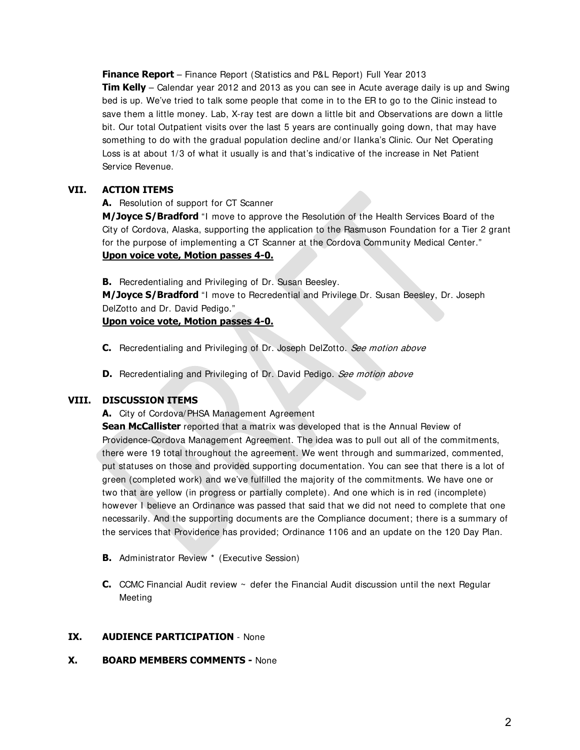**Finance Report** – Finance Report (Statistics and P&L Report) Full Year 2013 **Tim Kelly** – Calendar year 2012 and 2013 as you can see in Acute average daily is up and Swing bed is up. We've tried to talk some people that come in to the ER to go to the Clinic instead to save them a little money. Lab, X-ray test are down a little bit and Observations are down a little bit. Our total Outpatient visits over the last 5 years are continually going down, that may have something to do with the gradual population decline and/or Ilanka's Clinic. Our Net Operating Loss is at about 1/3 of what it usually is and that's indicative of the increase in Net Patient Service Revenue.

### **VII. ACTION ITEMS**

#### **A.** Resolution of support for CT Scanner

**M/Joyce S/Bradford** "I move to approve the Resolution of the Health Services Board of the City of Cordova, Alaska, supporting the application to the Rasmuson Foundation for a Tier 2 grant for the purpose of implementing a CT Scanner at the Cordova Community Medical Center." **Upon voice vote, Motion passes 4-0.**

**B.** Recredentialing and Privileging of Dr. Susan Beesley.

**M/Joyce S/Bradford** "I move to Recredential and Privilege Dr. Susan Beesley, Dr. Joseph DelZotto and Dr. David Pedigo."

**Upon voice vote, Motion passes 4-0.**

- **C.** Recredentialing and Privileging of Dr. Joseph DelZotto. See motion above
- **D.** Recredentialing and Privileging of Dr. David Pedigo. See motion above

#### **VIII. DISCUSSION ITEMS**

**A.** City of Cordova/PHSA Management Agreement

**Sean McCallister** reported that a matrix was developed that is the Annual Review of Providence-Cordova Management Agreement. The idea was to pull out all of the commitments, there were 19 total throughout the agreement. We went through and summarized, commented, put statuses on those and provided supporting documentation. You can see that there is a lot of green (completed work) and we've fulfilled the majority of the commitments. We have one or two that are yellow (in progress or partially complete). And one which is in red (incomplete) however I believe an Ordinance was passed that said that we did not need to complete that one necessarily. And the supporting documents are the Compliance document; there is a summary of the services that Providence has provided; Ordinance 1106 and an update on the 120 Day Plan.

- **B.** Administrator Review \* (Executive Session)
- **C.** CCMC Financial Audit review ~ defer the Financial Audit discussion until the next Regular Meeting

#### **IX. AUDIENCE PARTICIPATION** - None

#### **X. BOARD MEMBERS COMMENTS -** None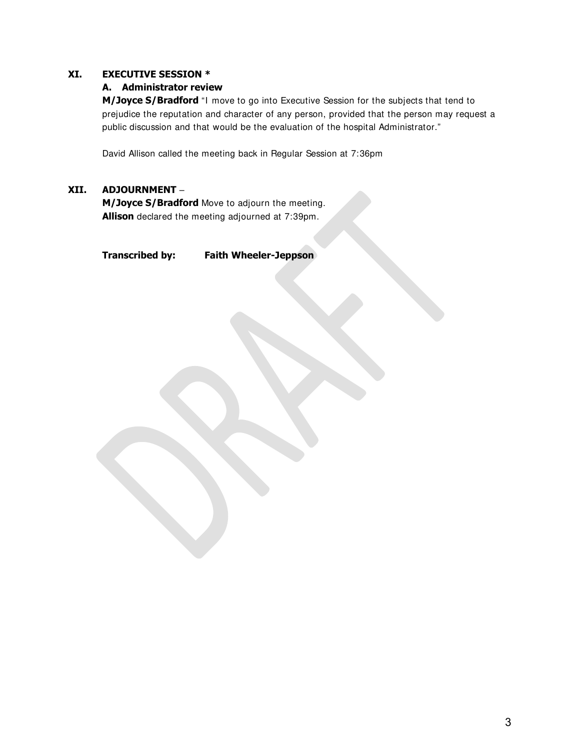#### **XI. EXECUTIVE SESSION \***

#### **A. Administrator review**

**M/Joyce S/Bradford** "I move to go into Executive Session for the subjects that tend to prejudice the reputation and character of any person, provided that the person may request a public discussion and that would be the evaluation of the hospital Administrator."

David Allison called the meeting back in Regular Session at 7:36pm

#### **XII. ADJOURNMENT** –

**M/Joyce S/Bradford** Move to adjourn the meeting. **Allison** declared the meeting adjourned at 7:39pm.

#### **Transcribed by: Faith Wheeler-Jeppson**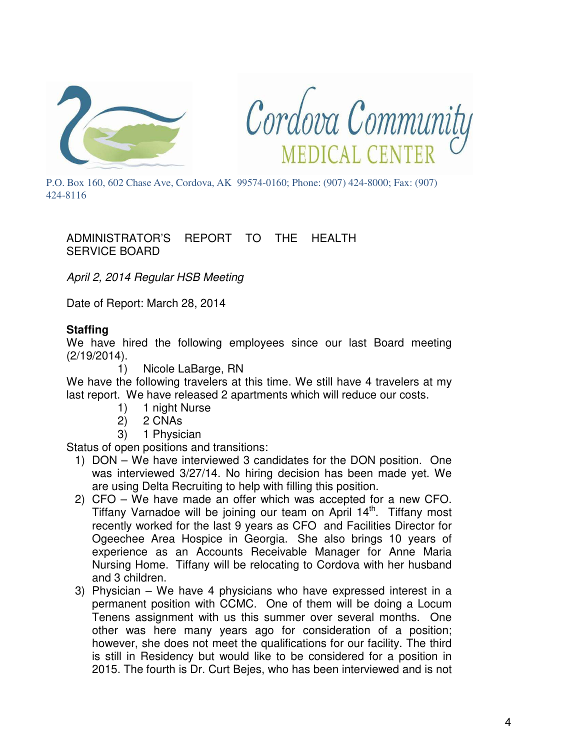



P.O. Box 160, 602 Chase Ave, Cordova, AK 99574-0160; Phone: (907) 424-8000; Fax: (907) 424-8116

## ADMINISTRATOR'S REPORT TO THE HEALTH SERVICE BOARD

April 2, 2014 Regular HSB Meeting

Date of Report: March 28, 2014

## **Staffing**

We have hired the following employees since our last Board meeting (2/19/2014).

1) Nicole LaBarge, RN

We have the following travelers at this time. We still have 4 travelers at my last report. We have released 2 apartments which will reduce our costs.

- 1) 1 night Nurse
- 2) 2 CNAs
- 3) 1 Physician

Status of open positions and transitions:

- 1) DON We have interviewed 3 candidates for the DON position. One was interviewed 3/27/14. No hiring decision has been made yet. We are using Delta Recruiting to help with filling this position.
- 2) CFO We have made an offer which was accepted for a new CFO. Tiffany Varnadoe will be joining our team on April 14<sup>th</sup>. Tiffany most recently worked for the last 9 years as CFO and Facilities Director for Ogeechee Area Hospice in Georgia. She also brings 10 years of experience as an Accounts Receivable Manager for Anne Maria Nursing Home. Tiffany will be relocating to Cordova with her husband and 3 children.
- 3) Physician We have 4 physicians who have expressed interest in a permanent position with CCMC. One of them will be doing a Locum Tenens assignment with us this summer over several months. One other was here many years ago for consideration of a position; however, she does not meet the qualifications for our facility. The third is still in Residency but would like to be considered for a position in 2015. The fourth is Dr. Curt Bejes, who has been interviewed and is not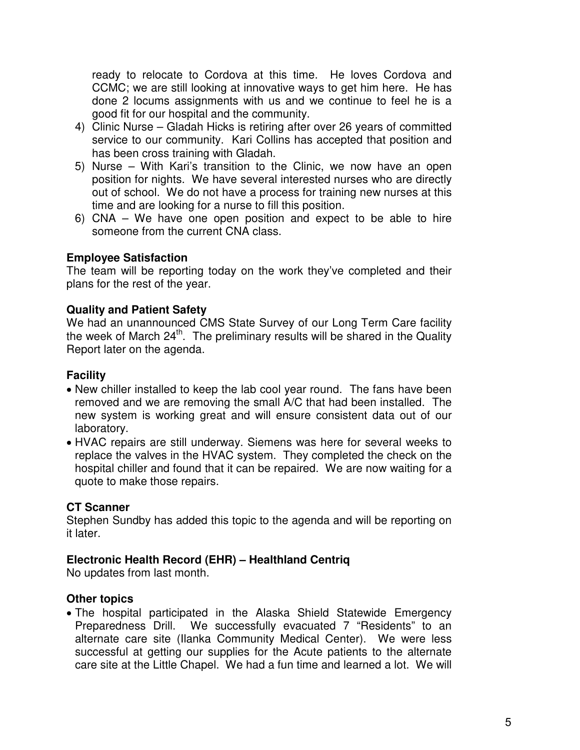ready to relocate to Cordova at this time. He loves Cordova and CCMC; we are still looking at innovative ways to get him here. He has done 2 locums assignments with us and we continue to feel he is a good fit for our hospital and the community.

- 4) Clinic Nurse Gladah Hicks is retiring after over 26 years of committed service to our community. Kari Collins has accepted that position and has been cross training with Gladah.
- 5) Nurse With Kari's transition to the Clinic, we now have an open position for nights. We have several interested nurses who are directly out of school. We do not have a process for training new nurses at this time and are looking for a nurse to fill this position.
- 6) CNA We have one open position and expect to be able to hire someone from the current CNA class.

## **Employee Satisfaction**

The team will be reporting today on the work they've completed and their plans for the rest of the year.

## **Quality and Patient Safety**

We had an unannounced CMS State Survey of our Long Term Care facility the week of March  $24<sup>th</sup>$ . The preliminary results will be shared in the Quality Report later on the agenda.

## **Facility**

- New chiller installed to keep the lab cool year round. The fans have been removed and we are removing the small A/C that had been installed. The new system is working great and will ensure consistent data out of our laboratory.
- HVAC repairs are still underway. Siemens was here for several weeks to replace the valves in the HVAC system. They completed the check on the hospital chiller and found that it can be repaired. We are now waiting for a quote to make those repairs.

## **CT Scanner**

Stephen Sundby has added this topic to the agenda and will be reporting on it later.

## **Electronic Health Record (EHR) – Healthland Centriq**

No updates from last month.

## **Other topics**

• The hospital participated in the Alaska Shield Statewide Emergency Preparedness Drill. We successfully evacuated 7 "Residents" to an alternate care site (Ilanka Community Medical Center). We were less successful at getting our supplies for the Acute patients to the alternate care site at the Little Chapel. We had a fun time and learned a lot. We will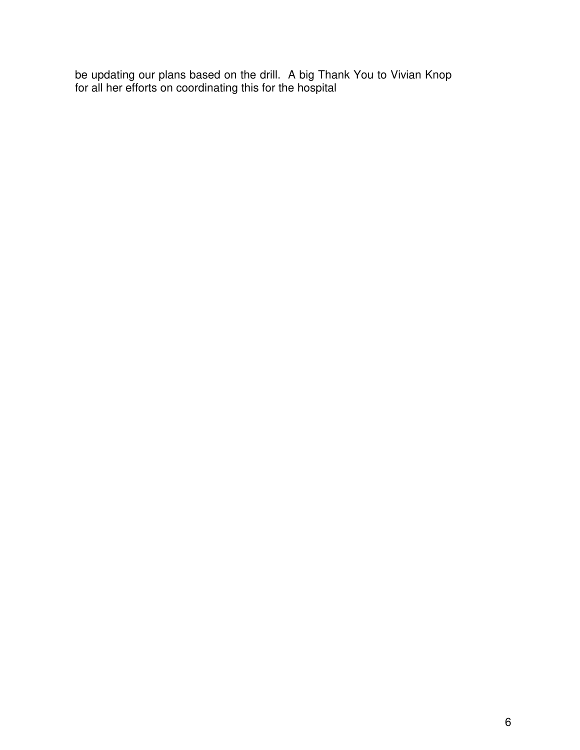be updating our plans based on the drill. A big Thank You to Vivian Knop for all her efforts on coordinating this for the hospital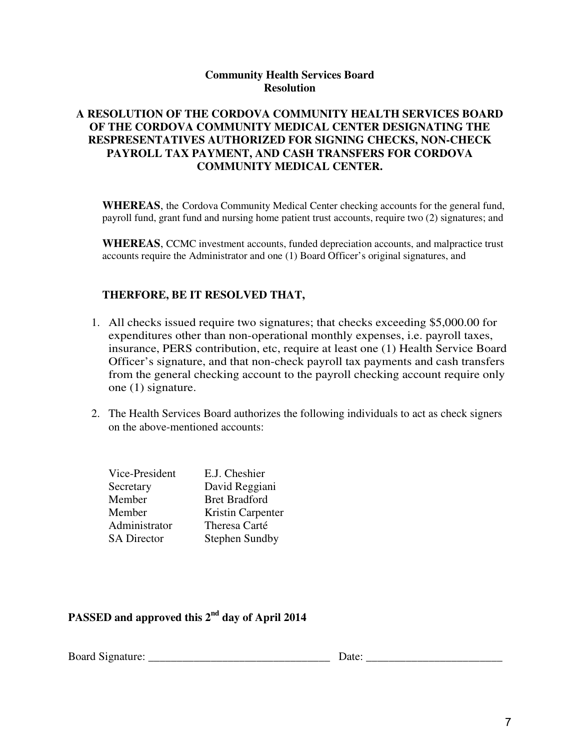## **Community Health Services Board Resolution**

## **A RESOLUTION OF THE CORDOVA COMMUNITY HEALTH SERVICES BOARD OF THE CORDOVA COMMUNITY MEDICAL CENTER DESIGNATING THE RESPRESENTATIVES AUTHORIZED FOR SIGNING CHECKS, NON-CHECK PAYROLL TAX PAYMENT, AND CASH TRANSFERS FOR CORDOVA COMMUNITY MEDICAL CENTER.**

**WHEREAS**, the Cordova Community Medical Center checking accounts for the general fund, payroll fund, grant fund and nursing home patient trust accounts, require two (2) signatures; and

**WHEREAS**, CCMC investment accounts, funded depreciation accounts, and malpractice trust accounts require the Administrator and one (1) Board Officer's original signatures, and

### **THERFORE, BE IT RESOLVED THAT,**

- 1. All checks issued require two signatures; that checks exceeding \$5,000.00 for expenditures other than non-operational monthly expenses, i.e. payroll taxes, insurance, PERS contribution, etc, require at least one (1) Health Service Board Officer's signature, and that non-check payroll tax payments and cash transfers from the general checking account to the payroll checking account require only one (1) signature.
- 2. The Health Services Board authorizes the following individuals to act as check signers on the above-mentioned accounts:

| Vice-President     | E.J. Cheshier         |
|--------------------|-----------------------|
| Secretary          | David Reggiani        |
| Member             | <b>Bret Bradford</b>  |
| Member             | Kristin Carpenter     |
| Administrator      | Theresa Carté         |
| <b>SA Director</b> | <b>Stephen Sundby</b> |

## **PASSED and approved this 2nd day of April 2014**

Board Signature: \_\_\_\_\_\_\_\_\_\_\_\_\_\_\_\_\_\_\_\_\_\_\_\_\_\_\_\_\_\_\_\_ Date: \_\_\_\_\_\_\_\_\_\_\_\_\_\_\_\_\_\_\_\_\_\_\_\_